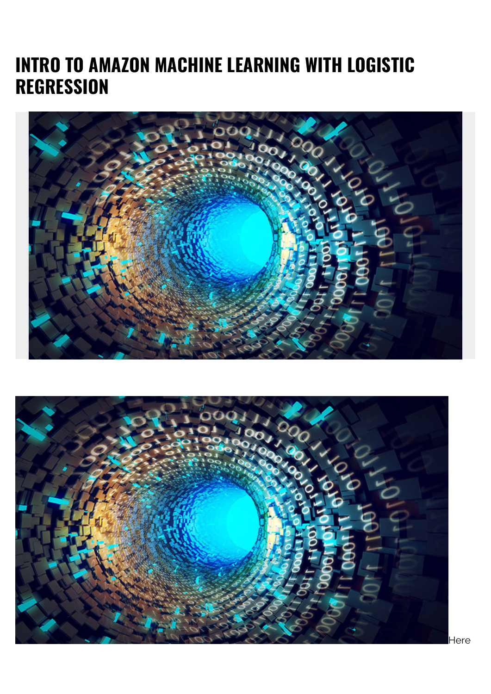# **INTRO TO AMAZON MACHINE LEARNING WITH LOGISTIC REGRESSION**



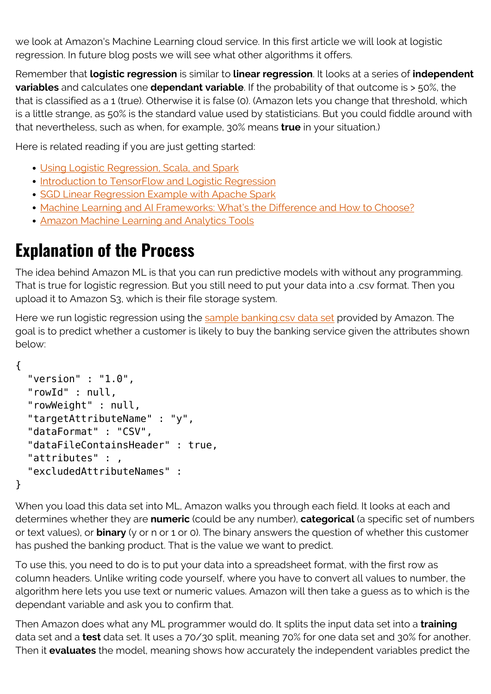we look at Amazon's Machine Learning cloud service. In this first article we will look at logistic regression. In future blog posts we will see what other algorithms it offers.

Remember that **logistic regression** is similar to **linear regression**. It looks at a series of **independent variables** and calculates one **dependant variable**. If the probability of that outcome is > 50%, the that is classified as a 1 (true). Otherwise it is false (0). (Amazon lets you change that threshold, which is a little strange, as 50% is the standard value used by statisticians. But you could fiddle around with that nevertheless, such as when, for example, 30% means **true** in your situation.)

Here is related reading if you are just getting started:

- [Using Logistic Regression, Scala, and Spark](https://blogs.bmc.com/blogs/using-logistic-regression-scala-spark/)
- **[Introduction to TensorFlow and Logistic Regression](https://blogs.bmc.com/blogs/introduction-to-tensorflow-and-logistic-regression/)**
- [SGD Linear Regression Example with Apache Spark](https://blogs.bmc.com/blogs/sgd-linear-regression-example-apache-spark/)
- [Machine Learning and AI Frameworks: What's the Difference and How to Choose?](https://blogs.bmc.com/blogs/machine-learning-ai-frameworks/)
- **[Amazon Machine Learning and Analytics Tools](https://blogs.bmc.com/blogs/amazon-machine-learning-and-analytics-tools/)**

## **Explanation of the Process**

The idea behind Amazon ML is that you can run predictive models with without any programming. That is true for logistic regression. But you still need to put your data into a .csv format. Then you upload it to Amazon S3, which is their file storage system.

Here we run logistic regression using the [sample banking.csv data set](https://aws.amazon.com/console/) provided by Amazon. The goal is to predict whether a customer is likely to buy the banking service given the attributes shown below:

```
{
```
}

```
 "version" : "1.0",
 "rowId" : null,
 "rowWeight" : null,
 "targetAttributeName" : "y",
 "dataFormat" : "CSV",
 "dataFileContainsHeader" : true,
 "attributes" : ,
 "excludedAttributeNames" :
```
When you load this data set into ML, Amazon walks you through each field. It looks at each and determines whether they are **numeric** (could be any number), **categorical** (a specific set of numbers or text values), or **binary** (y or n or 1 or 0). The binary answers the question of whether this customer has pushed the banking product. That is the value we want to predict.

To use this, you need to do is to put your data into a spreadsheet format, with the first row as column headers. Unlike writing code yourself, where you have to convert all values to number, the algorithm here lets you use text or numeric values. Amazon will then take a guess as to which is the dependant variable and ask you to confirm that.

Then Amazon does what any ML programmer would do. It splits the input data set into a **training** data set and a **test** data set. It uses a 70/30 split, meaning 70% for one data set and 30% for another. Then it **evaluates** the model, meaning shows how accurately the independent variables predict the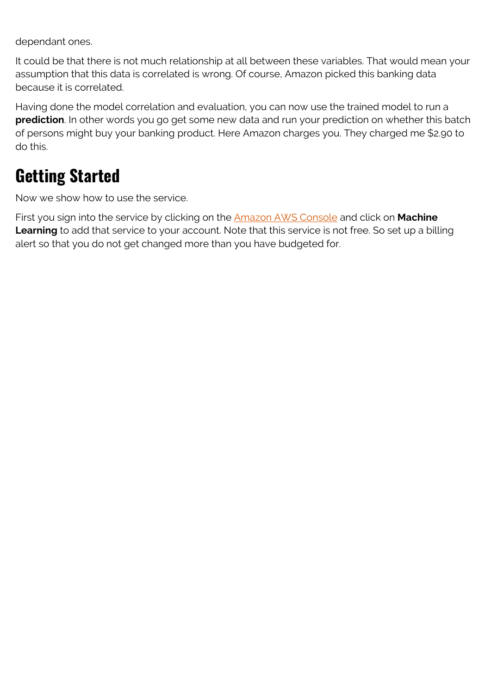dependant ones.

It could be that there is not much relationship at all between these variables. That would mean your assumption that this data is correlated is wrong. Of course, Amazon picked this banking data because it is correlated.

Having done the model correlation and evaluation, you can now use the trained model to run a **prediction**. In other words you go get some new data and run your prediction on whether this batch of persons might buy your banking product. Here Amazon charges you. They charged me \$2.90 to do this.

### **Getting Started**

Now we show how to use the service.

First you sign into the service by clicking on the [Amazon AWS Console](https://aws.amazon.com/console/) and click on **Machine** Learning to add that service to your account. Note that this service is not free. So set up a billing alert so that you do not get changed more than you have budgeted for.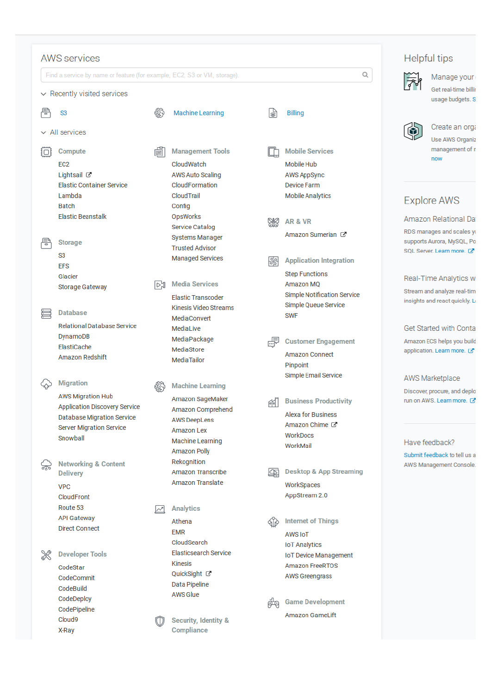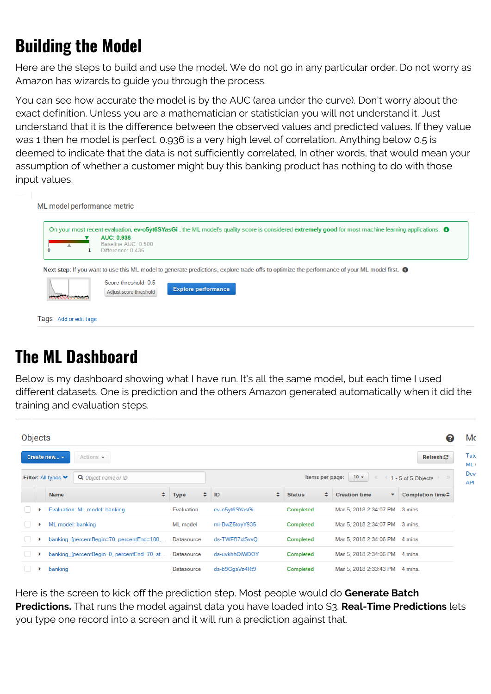## **Building the Model**

Here are the steps to build and use the model. We do not go in any particular order. Do not worry as Amazon has wizards to guide you through the process.

You can see how accurate the model is by the AUC (area under the curve). Don't worry about the exact definition. Unless you are a mathematician or statistician you will not understand it. Just understand that it is the difference between the observed values and predicted values. If they value was 1 then he model is perfect. 0.936 is a very high level of correlation. Anything below 0.5 is deemed to indicate that the data is not sufficiently correlated. In other words, that would mean your assumption of whether a customer might buy this banking product has nothing to do with those input values.

| On your most recent evaluation, ev-o5yt6SYasGi, the ML model's quality score is considered extremely good for most machine learning applications. <sup>3</sup> |
|----------------------------------------------------------------------------------------------------------------------------------------------------------------|
| <b>AUC: 0.936</b><br>Baseline AUC: 0.500                                                                                                                       |
| Difference: 0.436                                                                                                                                              |
|                                                                                                                                                                |
|                                                                                                                                                                |
|                                                                                                                                                                |
| Next step: If you want to use this ML model to generate predictions, explore trade-offs to optimize the performance of your ML model first. $\bullet$          |
| Score threshold: 0.5                                                                                                                                           |
| <b>Explore performance</b><br>Adjust score threshold                                                                                                           |

## **The ML Dashboard**

Below is my dashboard showing what I have run. It's all the same model, but each time I used different datasets. One is prediction and the others Amazon generated automatically when it did the training and evaluation steps.

| <b>Objects</b><br>0                        |                   |                                            |                   |                                                          |   |                    |                           |                                              |
|--------------------------------------------|-------------------|--------------------------------------------|-------------------|----------------------------------------------------------|---|--------------------|---------------------------|----------------------------------------------|
|                                            | Create new $\sim$ | Actions $\sim$                             |                   |                                                          |   |                    |                           | Refresh $\mathfrak{S}$                       |
| Q Object name or ID<br>Filter: All types ♥ |                   |                                            |                   | $10 -$<br>Items per page:<br>$\ll$<br>1 - 5 of 5 Objects |   |                    |                           |                                              |
|                                            | <b>Name</b>       | ٠                                          | <b>Type</b>       | $\div$ ID                                                | ÷ | ٠<br><b>Status</b> | <b>Creation time</b><br>۰ | Completion time <sup><math>\div</math></sup> |
|                                            |                   | Evaluation: ML model: banking              | Evaluation        | ev-o5yt6SYasGi                                           |   | Completed          | Mar 5, 2018 2:34:07 PM    | 3 mins.                                      |
|                                            | ML model: banking |                                            | ML model          | ml-BwZ5toyY935                                           |   | Completed          | Mar 5, 2018 2:34:07 PM    | 3 mins.                                      |
|                                            |                   | banking [percentBegin=70, percentEnd=100,  | Datasource        | ds-TWFB7xISvvQ                                           |   | Completed          | Mar 5, 2018 2:34:06 PM    | 4 mins.                                      |
| U                                          |                   | banking [percentBegin=0, percentEnd=70, st | <b>Datasource</b> | ds-uvkhhOiWDOY                                           |   | Completed          | Mar 5, 2018 2:34:06 PM    | 4 mins.                                      |
|                                            | banking           |                                            | Datasource        | ds-b9GgsVz4Rt9                                           |   | Completed          | Mar 5, 2018 2:33:43 PM    | 4 mins.                                      |

Here is the screen to kick off the prediction step. Most people would do **Generate Batch Predictions.** That runs the model against data you have loaded into S3. **Real-Time Predictions** lets you type one record into a screen and it will run a prediction against that.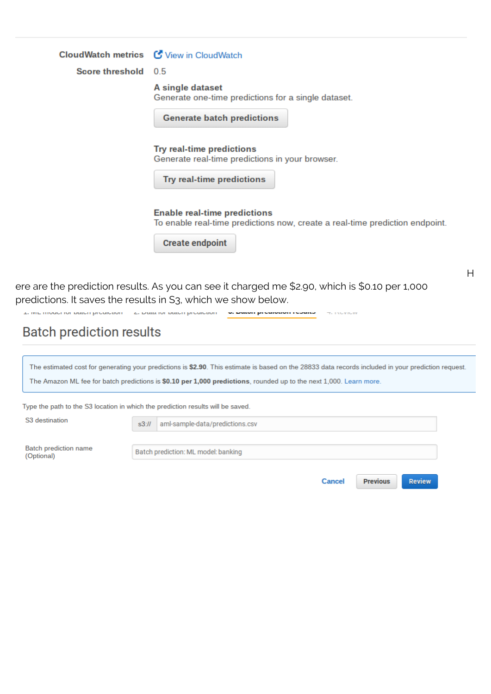|                                                                         | CloudWatch metrics C View in CloudWatch                                                                                                                         |   |
|-------------------------------------------------------------------------|-----------------------------------------------------------------------------------------------------------------------------------------------------------------|---|
| Score threshold 0.5                                                     |                                                                                                                                                                 |   |
|                                                                         | A single dataset<br>Generate one-time predictions for a single dataset.<br><b>Generate batch predictions</b>                                                    |   |
|                                                                         | Try real-time predictions<br>Generate real-time predictions in your browser.<br>Try real-time predictions                                                       |   |
|                                                                         | <b>Enable real-time predictions</b><br>To enable real-time predictions now, create a real-time prediction endpoint.<br><b>Create endpoint</b>                   |   |
|                                                                         | ere are the prediction results. As you can see it charged me \$2.90, which is \$0.10 per 1,000<br>predictions. It saves the results in S3, which we show below. | H |
| <b>4. INFLITIONATION DRIVER DIVORCION - 2. DRIVERS DRIVER DIVORCION</b> | W. DWWI MICHININI I COMIN TELLUTION                                                                                                                             |   |

#### **Batch prediction results**

| The estimated cost for generating your predictions is \$2.90. This estimate is based on the 28833 data records included in your prediction request. |  |  |  |
|-----------------------------------------------------------------------------------------------------------------------------------------------------|--|--|--|
|-----------------------------------------------------------------------------------------------------------------------------------------------------|--|--|--|

The Amazon ML fee for batch predictions is \$0.10 per 1,000 predictions, rounded up to the next 1,000. Learn more.

aml-sample-data/predictions.csv

Type the path to the S3 location in which the prediction results will be saved.

 $s3:11$ 

S3 destination

**Batch prediction name** (Optional)

Batch prediction: ML model: banking

Cancel **Previous** 

Review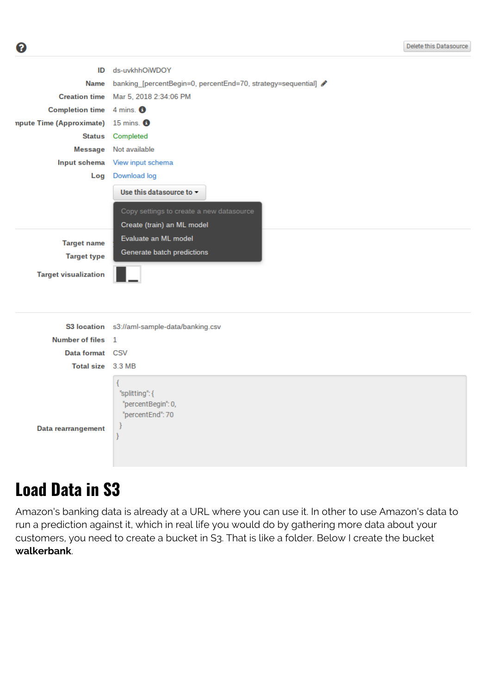| ID                                    | ds-uvkhhOiWDOY                                               |  |  |  |  |  |
|---------------------------------------|--------------------------------------------------------------|--|--|--|--|--|
| <b>Name</b>                           | banking [percentBegin=0, percentEnd=70, strategy=sequential] |  |  |  |  |  |
|                                       |                                                              |  |  |  |  |  |
| Completion time $4$ mins. $\bigoplus$ |                                                              |  |  |  |  |  |
| npute Time (Approximate) 15 mins. O   |                                                              |  |  |  |  |  |
| <b>Status</b>                         | Completed                                                    |  |  |  |  |  |
|                                       | Message Not available                                        |  |  |  |  |  |
|                                       | Input schema View input schema                               |  |  |  |  |  |
| Log                                   | Download log                                                 |  |  |  |  |  |
|                                       | Use this datasource to $\sim$                                |  |  |  |  |  |
|                                       | Copy settings to create a new datasource                     |  |  |  |  |  |
|                                       | Create (train) an ML model                                   |  |  |  |  |  |
|                                       | Evaluate an ML model                                         |  |  |  |  |  |
| <b>Target name</b>                    | Generate batch predictions                                   |  |  |  |  |  |
| <b>Target type</b>                    |                                                              |  |  |  |  |  |
| <b>Target visualization</b>           |                                                              |  |  |  |  |  |
|                                       |                                                              |  |  |  |  |  |
|                                       |                                                              |  |  |  |  |  |
|                                       | S3 location s3://aml-sample-data/banking.csv                 |  |  |  |  |  |
| Number of files 1                     |                                                              |  |  |  |  |  |
| Data format CSV                       |                                                              |  |  |  |  |  |
|                                       |                                                              |  |  |  |  |  |
| Total size 3.3 MB                     |                                                              |  |  |  |  |  |

#### **Load Data in S3**

ℯ

Amazon's banking data is already at a URL where you can use it. In other to use Amazon's data to run a prediction against it, which in real life you would do by gathering more data about your customers, you need to create a bucket in S3. That is like a folder. Below I create the bucket **walkerbank**.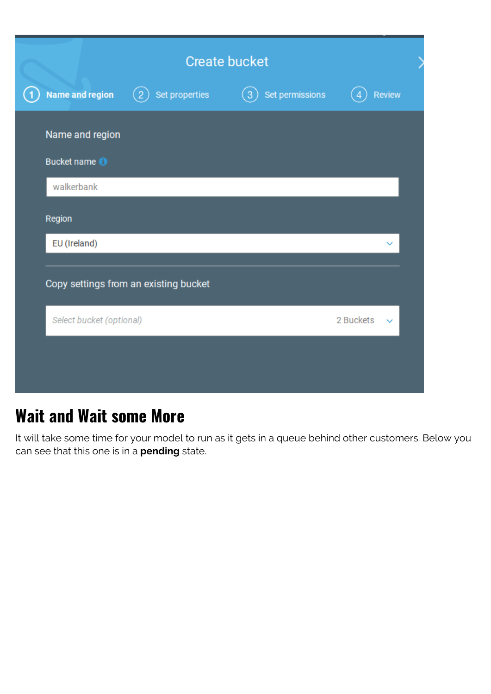| <b>Create bucket</b>         |                                       |                 |                           |  |
|------------------------------|---------------------------------------|-----------------|---------------------------|--|
| <b>Name and region</b><br>(1 | Set properties                        | Set permissions | <b>Review</b>             |  |
| Name and region              |                                       |                 |                           |  |
| Bucket name <sup>1</sup>     |                                       |                 |                           |  |
| walkerbank                   |                                       |                 |                           |  |
| Region                       |                                       |                 |                           |  |
| EU (Ireland)                 |                                       |                 |                           |  |
|                              | Copy settings from an existing bucket |                 |                           |  |
| Select bucket (optional)     |                                       |                 | 2 Buckets<br>$\checkmark$ |  |
|                              |                                       |                 |                           |  |
|                              |                                       |                 |                           |  |

## **Wait and Wait some More**

It will take some time for your model to run as it gets in a queue behind other customers. Below you can see that this one is in a **pending** state.